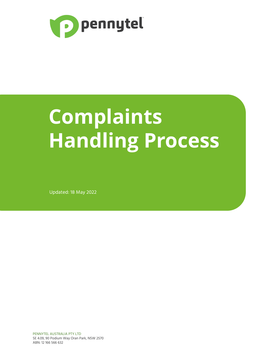

# **Complaints Handling Process**

Updated: 18 May 2022

PENNYTEL AUSTRALIA PTY LTD SE 4.09, 90 Podium Way Oran Park, NSW 2570 ABN: 12 166 566 632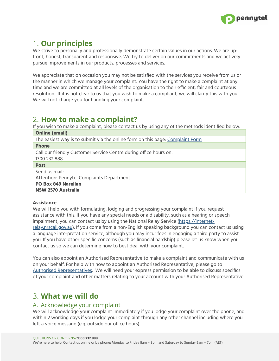

# 1. **Our principles**

We strive to personally and professionally demonstrate certain values in our actions. We are upfront, honest, transparent and responsive. We try to deliver on our commitments and we actively pursue improvements in our products, processes and services.

We appreciate that on occasion you may not be satisfied with the services you receive from us or the manner in which we manage your complaint. You have the right to make a complaint at any time and we are committed at all levels of the organisation to their efficient, fair and courteous resolution. If it is not clear to us that you wish to make a compliant, we will clarify this with you. We will not charge you for handling your complaint.

## 2. **How to make a complaint?**

If you wish to make a complaint, please contact us by using any of the methods identified below. **Online (email)**

| The easiest way is to submit via the online form on this page: Complaint Form |
|-------------------------------------------------------------------------------|
| <b>Phone</b>                                                                  |
| Call our friendly Customer Service Centre during office hours on:             |
| 1300 232 888                                                                  |
| <b>Post</b>                                                                   |
| Send us mail:                                                                 |
| Attention: Pennytel Complaints Department                                     |
| <b>PO Box 849 Narellan</b>                                                    |
| <b>NSW 2570 Australia</b>                                                     |

#### **Assistance**

We will help you with formulating, lodging and progressing your complaint if you request assistance with this. If you have any special needs or a disability, such as a hearing or speech impairment, you can contact us by using the National Relay Service [\(https://internet](https://internet-relay.nrscall.gov.au/)[relay.nrscall.gov.au](https://internet-relay.nrscall.gov.au/)). If you come from a non-English speaking background you can contact us using a language interpretation service, although you may incur fees in engaging a third party to assist you. If you have other specific concerns (such as financial hardship) please let us know when you contact us so we can determine how to best deal with your complaint.

You can also appoint an Authorised Representative to make a complaint and communicate with us on your behalf. For help with how to appoint an Authorised Representative, please go to [Authorised](https://pennytel.com.au/faq/account/how-do-i-add-an-authorised-representative) [Representatives.](https://pennytel.com.au/faq/account/how-do-i-add-an-authorised-representative) We will need your express permission to be able to discuss specifics of your complaint and other matters relating to your account with your Authorised Representative.

# 3. **What we will do**

#### A. Acknowledge your complaint

We will acknowledge your complaint immediately if you lodge your complaint over the phone, and within 2 working days if you lodge your complaint through any other channel including where you left a voice message (e.g. outside our office hours).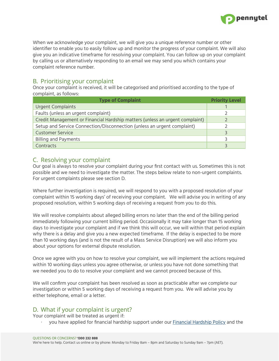

When we acknowledge your complaint, we will give you a unique reference number or other identifier to enable you to easily follow up and monitor the progress of your complaint. We will also give you an indicative timeframe for resolving your complaint. You can follow up on your complaint by calling us or alternatively responding to an email we may send you which contains your complaint reference number.

### B. Prioritising your complaint

Once your complaint is received, it will be categorised and prioritised according to the type of complaint, as follows:

| <b>Type of Complaint</b>                                                     | <b>Priority Level</b> |
|------------------------------------------------------------------------------|-----------------------|
| <b>Urgent Complaints</b>                                                     |                       |
| Faults (unless an urgent complaint)                                          |                       |
| Credit Management or Financial Hardship matters (unless an urgent complaint) |                       |
| Setup and Service Connection/Disconnection (unless an urgent complaint)      |                       |
| <b>Customer Service</b>                                                      | 3                     |
| <b>Billing and Payments</b>                                                  |                       |
| Contracts                                                                    |                       |

#### C. Resolving your complaint

Our goal is always to resolve your complaint during your first contact with us. Sometimes this is not possible and we need to investigate the matter. The steps below relate to non-urgent complaints. For urgent complaints please see section D.

Where further investigation is required, we will respond to you with a proposed resolution of your complaint within 15 working days' of receiving your complaint. We will advise you in writing of any proposed resolution, within 5 working days of receiving a request from you to do this.

We will resolve complaints about alleged billing errors no later than the end of the billing period immediately following your current billing period. Occasionally it may take longer than 15 working days to investigate your complaint and if we think this will occur, we will within that period explain why there is a delay and give you a new expected timeframe. If the delay is expected to be more than 10 working days (and is not the result of a Mass Service Disruption) we will also inform you about your options for external dispute resolution.

Once we agree with you on how to resolve your complaint, we will implement the actions required within 10 working days unless you agree otherwise, or unless you have not done something that we needed you to do to resolve your complaint and we cannot proceed because of this.

We will confirm your complaint has been resolved as soon as practicable after we complete our investigation or within 5 working days of receiving a request from you. We will advise you by either telephone, email or a letter.

## D. What if your complaint is urgent?

Your complaint will be treated as urgent if:

∙ you have applied for financial hardship support under our Financial [Hardship](https://pennytel.com.au/legal/) Policy and the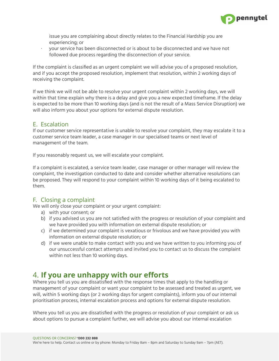

issue you are complaining about directly relates to the Financial Hardship you are experiencing; or

∙ your service has been disconnected or is about to be disconnected and we have not followed due process regarding the disconnection of your service.

If the complaint is classified as an urgent complaint we will advise you of a proposed resolution, and if you accept the proposed resolution, implement that resolution, within 2 working days of receiving the complaint.

If we think we will not be able to resolve your urgent complaint within 2 working days, we will within that time explain why there is a delay and give you a new expected timeframe. If the delay is expected to be more than 10 working days (and is not the result of a Mass Service Disruption) we will also inform you about your options for external dispute resolution.

#### E. Escalation

If our customer service representative is unable to resolve your complaint, they may escalate it to a customer service team leader, a case manager in our specialised teams or next level of management of the team.

If you reasonably request us, we will escalate your complaint.

If a complaint is escalated, a service team leader, case manager or other manager will review the complaint, the investigation conducted to date and consider whether alternative resolutions can be proposed. They will respond to your complaint within 10 working days of it being escalated to them.

#### F. Closing a complaint

We will only close your complaint or your urgent complaint:

- a) with your consent; or
- b) if you advised us you are not satisfied with the progress or resolution of your complaint and we have provided you with information on external dispute resolution; or
- c) if we determined your complaint is vexatious or frivolous and we have provided you with information on external dispute resolution; or
- d) if we were unable to make contact with you and we have written to you informing you of our unsuccessful contact attempts and invited you to contact us to discuss the complaint within not less than 10 working days.

## 4. **If you are unhappy with our efforts**

Where you tell us you are dissatisfied with the response times that apply to the handling or management of your complaint or want your complaint to be assessed and treated as urgent, we will, within 5 working days (or 2 working days for urgent complaints), inform you of our internal prioritisation process, internal escalation process and options for external dispute resolution.

Where you tell us you are dissatisfied with the progress or resolution of your complaint or ask us about options to pursue a complaint further, we will advise you about our internal escalation